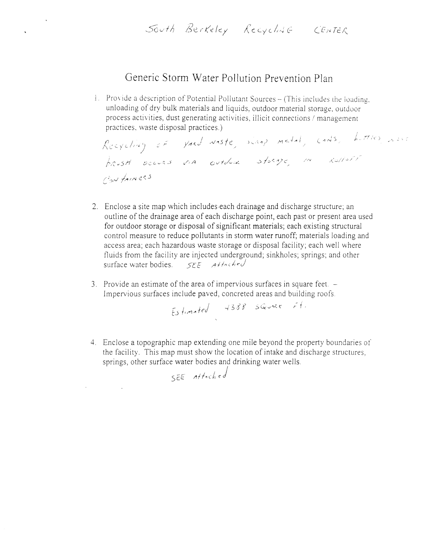# South Berkeley Recycline CENTER

# Generic Storm Water Pollution Prevention Plan

 $\hat{\mathbf{A}}$ 

1. Provide a description of Potential Pollutant Sources - (This includes the loading, unloading of dry bulk materials and liquids, outdoor material storage, outdoor process activities, dust generating activities, illicit connections / management practices, waste disposal practices.)

- 2. Enclose a site map which includes each drainage and discharge structure; an outline of the drainage area of each discharge point, each past or present area used for outdoor storage or disposal of significant materials; each existing structural control measure to reduce pollutants in storm water runoff; materials loading and access area; each hazardous waste storage or disposal facility; each well where fluids from the facility are injected underground; sinkholes; springs; and other surface water bodies. SEE Athched
- 3. Provide an estimate of the area of impervious surfaces in square feet. -Impervious surfaces include paved, concreted areas and building roofs.

4. Enclose a topographic map extending one mile beyond the property boundaries of the facility. This map must show the location of intake and discharge structures, springs, other surface water bodies and drinking water wells.

SEE Attached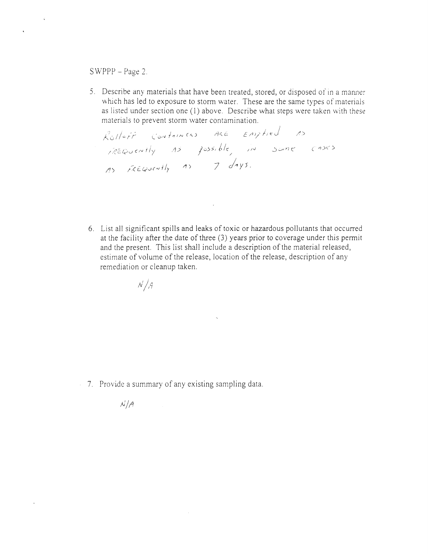### $SWPPP - Page 2.$

 $\mathcal{R}^{\text{max}}$ 

 $\hat{\mathbf{A}}$ 

5. Describe any materials that have been treated, stored, or disposed of in a manner which has led to exposure to storm water. These are the same types of materials as listed under section one (1) above. Describe what steps were taken with these materials to prevent storm water contamination.

1-.)(; / / <:- / *;* '-',yJ I" I N (.,) ,"J«.. L:. E: /!};' *J*/ <: J /! ) I >: C: Q *v* f / I '/ /);> / v> ;;, /, /c: / *IIV*  (IV *7 j'lYs.* 

6. List all significant spills and leaks of toxic or hazardous pollutants that occurred at the facility after the date of three (3) years prior to coverage under this permit and the present. This list shall include a description of the material released, estimate of volume of the release, location of the release, description of any remediation or cleanup taken.

$$
\mathcal{N}\Big/ \mathcal{A}
$$

 $\mathcal{N}/\mathcal{A}$ 

 $-7$ . Provide a summary of any existing sampling data.

 $\mathcal{L}^{\text{max}}$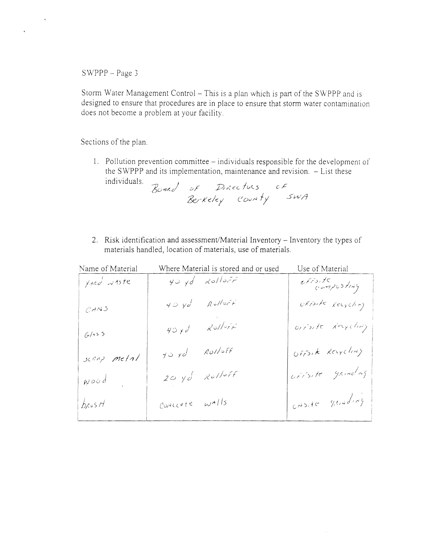$\mathbf{v}$ 

 $\langle \bullet \rangle$ 

Storm Water Management Control - This is a plan which is part of the SWPPP and is designed to ensure that procedures are in place to ensure that storm water contamination does not become a problem at your facility.

Sections of the plan.

1. Pollution prevention committee - individuals responsible for the development of the SWPPP and its implementation, maintenance and revision. - List these individuals.

Board of Directures of<br>Berkeley County SWA

2. Risk identification and assessment/Material Inventory - Inventory the types of materials handled, location of materials, use of materials.

| Name of Material | Where Material is stored and or used | Use of Material   |
|------------------|--------------------------------------|-------------------|
| yard waste       | $40 \text{ yd}$ RolloFF              | estroite          |
| $C$ ANS          | $40 \text{ yd}$ RulloFF              | OFFSITE Recycling |

| 6/155       | $40 \times d$ Rollers           | oirsite Recycling |
|-------------|---------------------------------|-------------------|
| scant metal | $y_0$ $y_0$ $\approx$ $Rol/sff$ | OFFSIK Recycling  |
| $N$ 00d     | $20 y d$ Rolloff                | Crisite gamelig   |
| $b$ cus $H$ | Concrete walls                  | CNSite ganding    |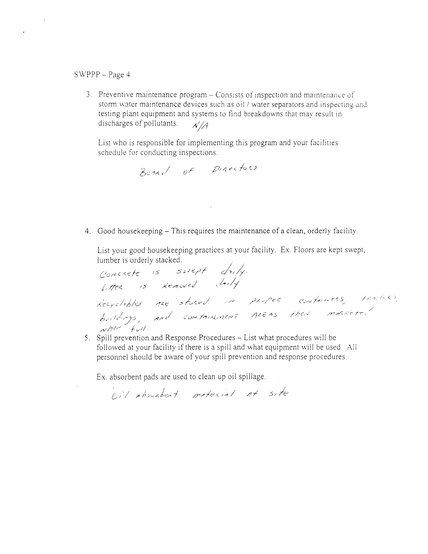$\bullet$ 

3. Preventive maintenance program – Consists of inspection and maintenance of storm water maintenance devices such as oii / water separators and inspecting and testing plant equipment and systems to find breakdowns that may result in discharges of pollutants.  $\frac{\sqrt{A}}{A}$ 

List who is responsible for implementing this program and your facilities schedule for conducting inspections.

 $\mathcal{L}^{\text{max}}_{\text{max}}$  and  $\mathcal{L}^{\text{max}}_{\text{max}}$ 

4. Good housekeeping – This requires the maintenance of a clean, orderly facility.

5. Spill prevention and Response Procedures – List what procedures will be followed at your facility if there is a spill and what equipment will be used. All personnel should be aware of your spill prevention and response procedures.

Ex. absorbent pads are used to clean up oil spillage.

Eil possiblest moternal at site

List your good housekeeping practices at your facility. Ex. Floors are kept swept, lumber is orderly stacked.

/5 CONFAINERS, FRA. (CC) *b.;* (*/"1* 5 / 1/1) *11d'/-'f* / / .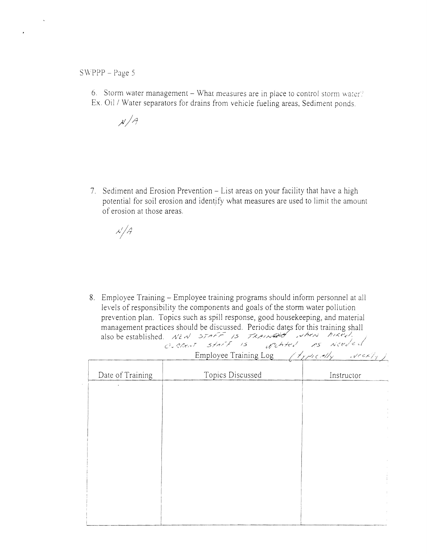$\bullet$ 

6. Storm water management - What measures are in place to control storm water? Ex. Oil / Water separators for drains from vehicle fueling areas, Sediment ponds.

 $X/A$ 

7. Sediment and Erosion Prevention - List areas on your facility that have a high potential for soil erosion and identify what measures are used to limit the amount of erosion at those areas.

 $\lambda'/\beta$ 

8. Employee Training – Employee training programs should inform personnel at all levels of responsibility the components and goals of the storm water pollution

prevention plan. Topics such as spill response, good housekeeping, and material management practices should be discussed. Periodic dates for this training shall<br>also be established.  $\mathcal{N} \in \mathcal{N}$ 

G. CRENT STATF IS upchted as weeded

|                  | Employee Training Log | $\left(\frac{1}{2} \frac{1}{2} \frac{1}{2} \frac{1}{2} \frac{1}{2} \frac{1}{2} \frac{1}{2} \frac{1}{2} \frac{1}{2} \frac{1}{2} \frac{1}{2} \frac{1}{2} \frac{1}{2} \frac{1}{2} \frac{1}{2} \frac{1}{2} \frac{1}{2} \frac{1}{2} \frac{1}{2} \frac{1}{2} \frac{1}{2} \frac{1}{2} \frac{1}{2} \frac{1}{2} \frac{1}{2} \frac{1}{2} \frac{1}{2} \frac{1}{2} \frac{1}{2} \frac{1}{2} \frac{1}{2} \$ |
|------------------|-----------------------|-----------------------------------------------------------------------------------------------------------------------------------------------------------------------------------------------------------------------------------------------------------------------------------------------------------------------------------------------------------------------------------------------|
| Date of Training | Topics Discussed      | Instructor                                                                                                                                                                                                                                                                                                                                                                                    |
|                  |                       |                                                                                                                                                                                                                                                                                                                                                                                               |
|                  |                       |                                                                                                                                                                                                                                                                                                                                                                                               |
|                  |                       |                                                                                                                                                                                                                                                                                                                                                                                               |
|                  |                       |                                                                                                                                                                                                                                                                                                                                                                                               |
|                  |                       |                                                                                                                                                                                                                                                                                                                                                                                               |
|                  |                       |                                                                                                                                                                                                                                                                                                                                                                                               |
|                  |                       |                                                                                                                                                                                                                                                                                                                                                                                               |
|                  |                       |                                                                                                                                                                                                                                                                                                                                                                                               |
|                  |                       |                                                                                                                                                                                                                                                                                                                                                                                               |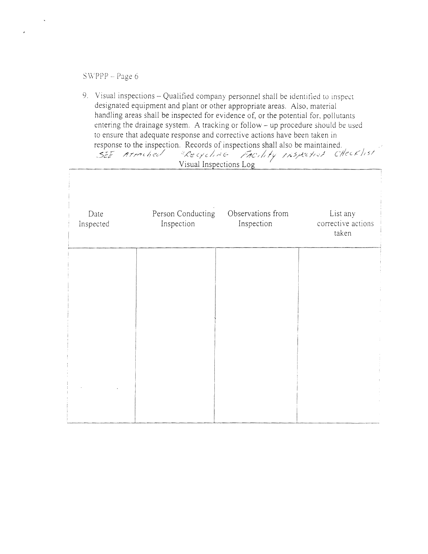$\bullet$ 

9. Visual inspections - Qualified company personnel shall be identified to inspect designated equipment and plant or other appropriate areas. Also, material handling areas shall be inspected for evidence of, or the potential for, pollutants entering the drainage system. A tracking or follow - up procedure should be used to ensure that adequate response and corrective actions have been taken in response to the inspection. Records of inspections shall also be maintained.<br>
SEE Armelied (Recycline 150) if Inspection CHECK/15/

| Visual Inspections Log |                                 |                                 |                                         |  |  |
|------------------------|---------------------------------|---------------------------------|-----------------------------------------|--|--|
| Date<br>Inspected      | Person Conducting<br>Inspection | Observations from<br>Inspection | List any<br>corrective actions<br>taken |  |  |
|                        |                                 |                                 |                                         |  |  |
|                        |                                 |                                 |                                         |  |  |

| $\bullet$ |  |  |
|-----------|--|--|
|           |  |  |
|           |  |  |
|           |  |  |
|           |  |  |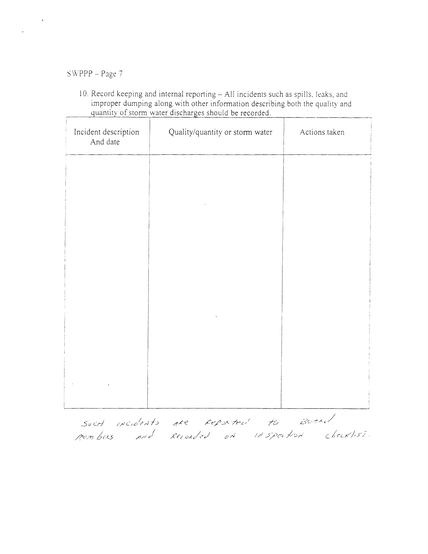10. Record keeping and internal reporting - All incidents such as spills, leaks, and improper dumping along with other information describing both the quality and quantity of storm water discharges should be recorded.

| Incident description<br>And date | Quality/quantity or storm water | Actions taken |
|----------------------------------|---------------------------------|---------------|
|                                  |                                 |               |
|                                  |                                 |               |
|                                  |                                 |               |
|                                  |                                 |               |
|                                  |                                 |               |



SUCH INCIDENTS ARE REPORTED TO BOARD members and Recorded on inspection checklist.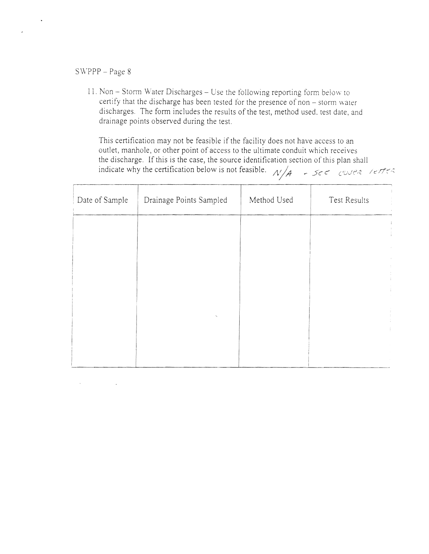$\mathcal{L}^{\mathcal{L}}(\mathcal{L}^{\mathcal{L}}(\mathcal{L}^{\mathcal{L}}(\mathcal{L}^{\mathcal{L}}(\mathcal{L}^{\mathcal{L}}(\mathcal{L}^{\mathcal{L}}(\mathcal{L}^{\mathcal{L}}(\mathcal{L}^{\mathcal{L}}(\mathcal{L}^{\mathcal{L}}(\mathcal{L}^{\mathcal{L}}(\mathcal{L}^{\mathcal{L}}(\mathcal{L}^{\mathcal{L}}(\mathcal{L}^{\mathcal{L}}(\mathcal{L}^{\mathcal{L}}(\mathcal{L}^{\mathcal{L}}(\mathcal{L}^{\mathcal{L}}(\mathcal{L}^{\mathcal{L$ 

11. Non - Storm Water Discharges - Use the following reporting form below to certify that the discharge has been tested for the presence of non - storm water discharges. The form includes the results of the test, method used, test date, and drainage points observed during the test.

This certification may not be feasible if the facility does not have access to an outlet, manhole, or other point of access to the ultimate conduit which receives the discharge. If this is the case, the source identification section of this plan shall indicate why the certification below is not feasible.  $\pi/4$  -  $5e^2$  cover letter

| Date of Sample | Drainage Points Sampled | Method Used | Test Results |
|----------------|-------------------------|-------------|--------------|
|                |                         |             |              |
|                |                         |             |              |
|                |                         |             |              |

| <b>START SERVICE AND COMPANY CONTINUES.</b> |  |  |
|---------------------------------------------|--|--|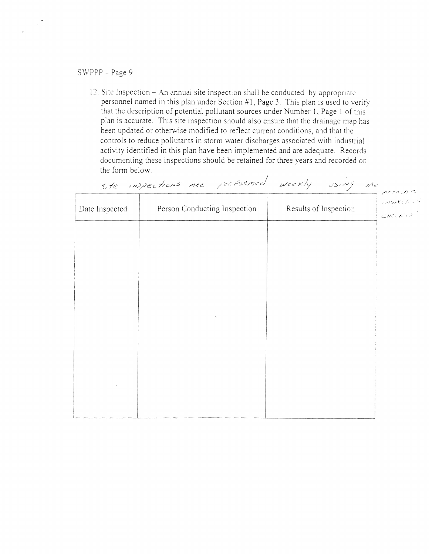12. Site Inspection - An annual site inspection shall be conducted by appropriate personnel named in this plan under Section #1, Page 3. This plan is used to verify that the description of potential pollutant sources under Number 1, Page 1 of this plan is accurate. This site inspection should also ensure that the drainage map has been updated or otherwise modified to reflect current conditions, and that the controls to reduce pollutants in storm water discharges associated with industrial activity identified in this plan have been implemented and are adequate. Records documenting these inspections should be retained for three years and recorded on the form below.

site inspections are performed wickly using the

|                |                              |                       | THE TANKS |  |
|----------------|------------------------------|-----------------------|-----------|--|
| Date Inspected | Person Conducting Inspection | Results of Inspection | CHECKIN   |  |
|                |                              |                       |           |  |
|                |                              |                       |           |  |
|                |                              |                       |           |  |
|                |                              |                       |           |  |
|                |                              |                       |           |  |
|                |                              |                       |           |  |
|                |                              |                       |           |  |
|                |                              |                       |           |  |